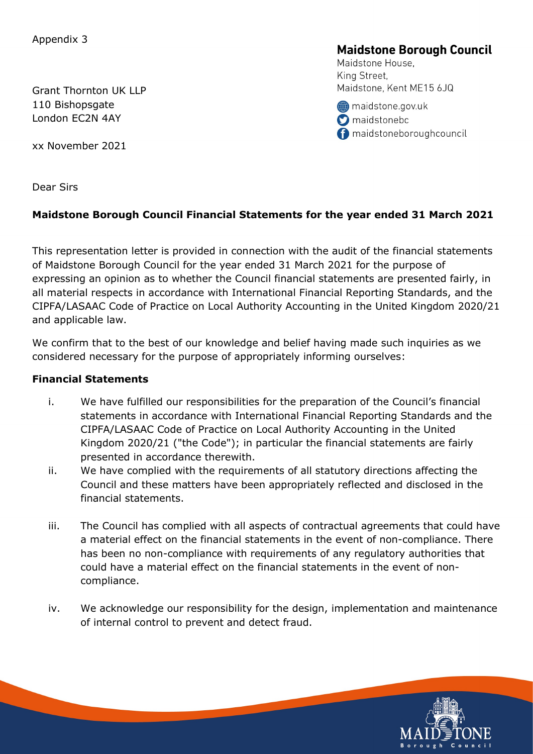Grant Thornton UK LLP 110 Bishopsgate London EC2N 4AY

xx November 2021

# **Maidstone Borough Council**

Maidstone House. King Street. Maidstone, Kent ME15 6JQ

maidstone.gov.uk **O** maidstonebc naidstoneboroughcouncil

Dear Sirs

# Maidstone Borough Council Financial Statements for the year ended 31 March 2021

This representation letter is provided in connection with the audit of the financial statements of Maidstone Borough Council for the year ended 31 March 2021 for the purpose of expressing an opinion as to whether the Council financial statements are presented fairly, in all material respects in accordance with International Financial Reporting Standards, and the CIPFA/LASAAC Code of Practice on Local Authority Accounting in the United Kingdom 2020/21 and applicable law.

We confirm that to the best of our knowledge and belief having made such inquiries as we considered necessary for the purpose of appropriately informing ourselves:

# Financial Statements

- i. We have fulfilled our responsibilities for the preparation of the Council's financial statements in accordance with International Financial Reporting Standards and the CIPFA/LASAAC Code of Practice on Local Authority Accounting in the United Kingdom 2020/21 ("the Code"); in particular the financial statements are fairly presented in accordance therewith.
- ii. We have complied with the requirements of all statutory directions affecting the Council and these matters have been appropriately reflected and disclosed in the financial statements.
- iii. The Council has complied with all aspects of contractual agreements that could have a material effect on the financial statements in the event of non-compliance. There has been no non-compliance with requirements of any regulatory authorities that could have a material effect on the financial statements in the event of noncompliance.
- iv. We acknowledge our responsibility for the design, implementation and maintenance of internal control to prevent and detect fraud.

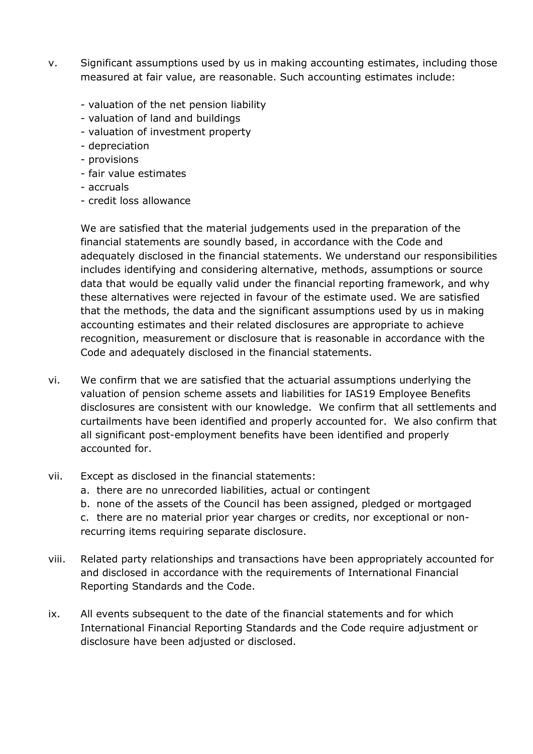- v. Significant assumptions used by us in making accounting estimates, including those measured at fair value, are reasonable. Such accounting estimates include:
	- valuation of the net pension liability
	- valuation of land and buildings
	- valuation of investment property
	- depreciation
	- provisions
	- fair value estimates
	- accruals
	- credit loss allowance

We are satisfied that the material judgements used in the preparation of the financial statements are soundly based, in accordance with the Code and adequately disclosed in the financial statements. We understand our responsibilities includes identifying and considering alternative, methods, assumptions or source data that would be equally valid under the financial reporting framework, and why these alternatives were rejected in favour of the estimate used. We are satisfied that the methods, the data and the significant assumptions used by us in making accounting estimates and their related disclosures are appropriate to achieve recognition, measurement or disclosure that is reasonable in accordance with the Code and adequately disclosed in the financial statements.

- vi. We confirm that we are satisfied that the actuarial assumptions underlying the valuation of pension scheme assets and liabilities for IAS19 Employee Benefits disclosures are consistent with our knowledge. We confirm that all settlements and curtailments have been identified and properly accounted for. We also confirm that all significant post-employment benefits have been identified and properly accounted for.
- vii. Except as disclosed in the financial statements:
	- a. there are no unrecorded liabilities, actual or contingent
	- b. none of the assets of the Council has been assigned, pledged or mortgaged c. there are no material prior year charges or credits, nor exceptional or nonrecurring items requiring separate disclosure.
- viii. Related party relationships and transactions have been appropriately accounted for and disclosed in accordance with the requirements of International Financial Reporting Standards and the Code.
- ix. All events subsequent to the date of the financial statements and for which International Financial Reporting Standards and the Code require adjustment or disclosure have been adjusted or disclosed.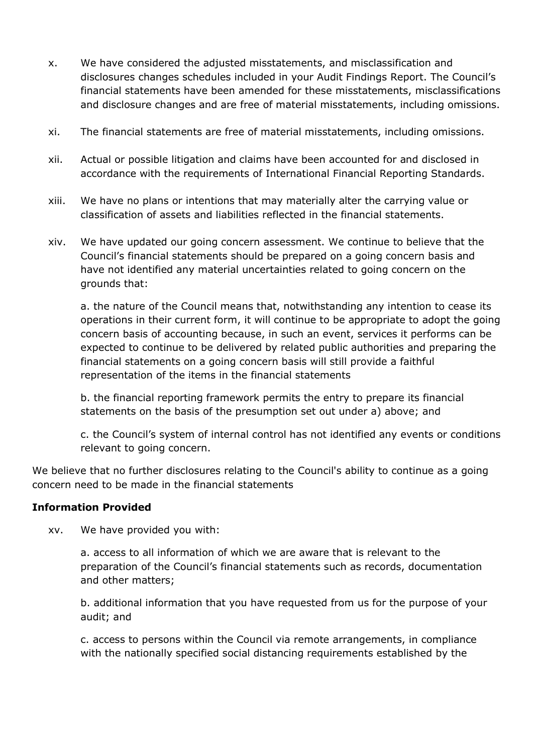- x. We have considered the adjusted misstatements, and misclassification and disclosures changes schedules included in your Audit Findings Report. The Council's financial statements have been amended for these misstatements, misclassifications and disclosure changes and are free of material misstatements, including omissions.
- xi. The financial statements are free of material misstatements, including omissions.
- xii. Actual or possible litigation and claims have been accounted for and disclosed in accordance with the requirements of International Financial Reporting Standards.
- xiii. We have no plans or intentions that may materially alter the carrying value or classification of assets and liabilities reflected in the financial statements.
- xiv. We have updated our going concern assessment. We continue to believe that the Council's financial statements should be prepared on a going concern basis and have not identified any material uncertainties related to going concern on the grounds that:

a. the nature of the Council means that, notwithstanding any intention to cease its operations in their current form, it will continue to be appropriate to adopt the going concern basis of accounting because, in such an event, services it performs can be expected to continue to be delivered by related public authorities and preparing the financial statements on a going concern basis will still provide a faithful representation of the items in the financial statements

b. the financial reporting framework permits the entry to prepare its financial statements on the basis of the presumption set out under a) above; and

c. the Council's system of internal control has not identified any events or conditions relevant to going concern.

We believe that no further disclosures relating to the Council's ability to continue as a going concern need to be made in the financial statements

#### Information Provided

xv. We have provided you with:

a. access to all information of which we are aware that is relevant to the preparation of the Council's financial statements such as records, documentation and other matters;

b. additional information that you have requested from us for the purpose of your audit; and

c. access to persons within the Council via remote arrangements, in compliance with the nationally specified social distancing requirements established by the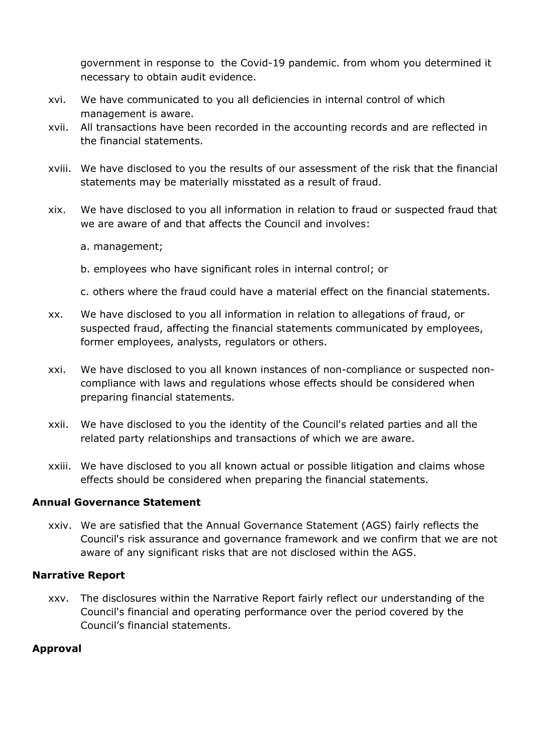government in response to the Covid-19 pandemic. from whom you determined it necessary to obtain audit evidence.

- xvi. We have communicated to you all deficiencies in internal control of which management is aware.
- xvii. All transactions have been recorded in the accounting records and are reflected in the financial statements.
- xviii. We have disclosed to you the results of our assessment of the risk that the financial statements may be materially misstated as a result of fraud.
- xix. We have disclosed to you all information in relation to fraud or suspected fraud that we are aware of and that affects the Council and involves:
	- a. management;
	- b. employees who have significant roles in internal control; or
	- c. others where the fraud could have a material effect on the financial statements.
- xx. We have disclosed to you all information in relation to allegations of fraud, or suspected fraud, affecting the financial statements communicated by employees, former employees, analysts, regulators or others.
- xxi. We have disclosed to you all known instances of non-compliance or suspected noncompliance with laws and regulations whose effects should be considered when preparing financial statements.
- xxii. We have disclosed to you the identity of the Council's related parties and all the related party relationships and transactions of which we are aware.
- xxiii. We have disclosed to you all known actual or possible litigation and claims whose effects should be considered when preparing the financial statements.

## Annual Governance Statement

xxiv. We are satisfied that the Annual Governance Statement (AGS) fairly reflects the Council's risk assurance and governance framework and we confirm that we are not aware of any significant risks that are not disclosed within the AGS.

## Narrative Report

xxv. The disclosures within the Narrative Report fairly reflect our understanding of the Council's financial and operating performance over the period covered by the Council's financial statements.

#### Approval